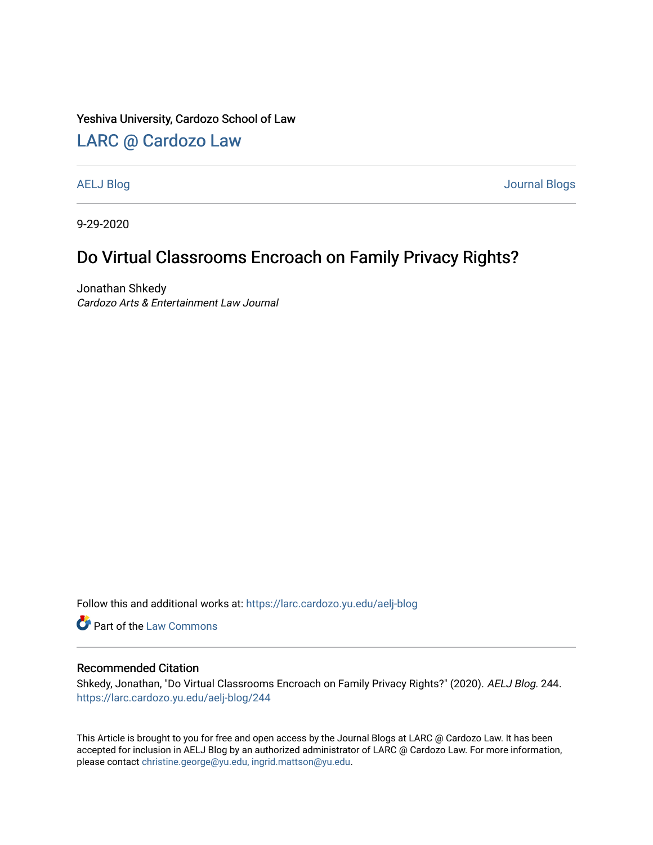#### Yeshiva University, Cardozo School of Law

### [LARC @ Cardozo Law](https://larc.cardozo.yu.edu/)

[AELJ Blog](https://larc.cardozo.yu.edu/aelj-blog) [Journal Blogs](https://larc.cardozo.yu.edu/journal-blogs) 

9-29-2020

## Do Virtual Classrooms Encroach on Family Privacy Rights?

Jonathan Shkedy Cardozo Arts & Entertainment Law Journal

Follow this and additional works at: [https://larc.cardozo.yu.edu/aelj-blog](https://larc.cardozo.yu.edu/aelj-blog?utm_source=larc.cardozo.yu.edu%2Faelj-blog%2F244&utm_medium=PDF&utm_campaign=PDFCoverPages) 

Part of the [Law Commons](http://network.bepress.com/hgg/discipline/578?utm_source=larc.cardozo.yu.edu%2Faelj-blog%2F244&utm_medium=PDF&utm_campaign=PDFCoverPages)

#### Recommended Citation

Shkedy, Jonathan, "Do Virtual Classrooms Encroach on Family Privacy Rights?" (2020). AELJ Blog. 244. [https://larc.cardozo.yu.edu/aelj-blog/244](https://larc.cardozo.yu.edu/aelj-blog/244?utm_source=larc.cardozo.yu.edu%2Faelj-blog%2F244&utm_medium=PDF&utm_campaign=PDFCoverPages) 

This Article is brought to you for free and open access by the Journal Blogs at LARC @ Cardozo Law. It has been accepted for inclusion in AELJ Blog by an authorized administrator of LARC @ Cardozo Law. For more information, please contact [christine.george@yu.edu, ingrid.mattson@yu.edu.](mailto:christine.george@yu.edu,%20ingrid.mattson@yu.edu)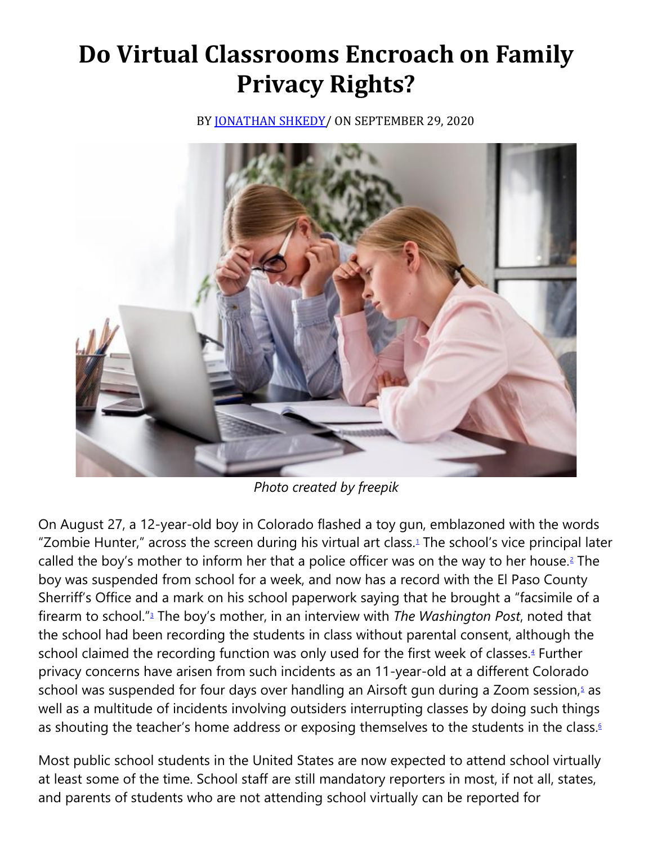# **Do Virtual Classrooms Encroach on Family Privacy Rights?**

BY JONATHAN SHKEDY / ON SEPTEMBER 29, 2020



*Photo created by freepik*

On August 27, a 12-year-old boy in Colorado flashed a toy gun, emblazoned with the words "Zombie Hunter," across the screen during his virtual art class[.](https://cardozoaelj.com/2020/09/29/do-virtual-classrooms-encroach-on-family-privacy-rights/#easy-footnote-bottom-1-6247)<sup>1</sup> The school's vice principal later called the boy's mother to inform her that a police officer was on the way to her house[.](https://cardozoaelj.com/2020/09/29/do-virtual-classrooms-encroach-on-family-privacy-rights/#easy-footnote-bottom-2-6247)<sup>2</sup> The boy was suspended from school for a week, and now has a record with the El Paso County Sherriff's Office and a mark on his school paperwork saying that he brought a "facsimile of a firearm to school.["](https://cardozoaelj.com/2020/09/29/do-virtual-classrooms-encroach-on-family-privacy-rights/#easy-footnote-bottom-3-6247)<sup>3</sup> The boy's mother, in an interview with *The Washington Post*, noted that the school had been recording the students in class without parental consent, although the school claimed the recording function was only used for the first week of classes[.](https://cardozoaelj.com/2020/09/29/do-virtual-classrooms-encroach-on-family-privacy-rights/#easy-footnote-bottom-4-6247)<sup>4</sup> Further privacy concerns have arisen from such incidents as an 11-year-old at a different Colorado school was suspended for four days over handling an Airsoft gun during a Zoom session[,](https://cardozoaelj.com/2020/09/29/do-virtual-classrooms-encroach-on-family-privacy-rights/#easy-footnote-bottom-5-6247) $\frac{1}{2}$  as well as a multitude of incidents involving outsiders interrupting classes by doing such things as shouting the teacher's home address or exposing themselves to the students in the class[.](https://cardozoaelj.com/2020/09/29/do-virtual-classrooms-encroach-on-family-privacy-rights/#easy-footnote-bottom-6-6247)<sup>6</sup>

Most public school students in the United States are now expected to attend school virtually at least some of the time. School staff are still mandatory reporters in most, if not all, states, and parents of students who are not attending school virtually can be reported for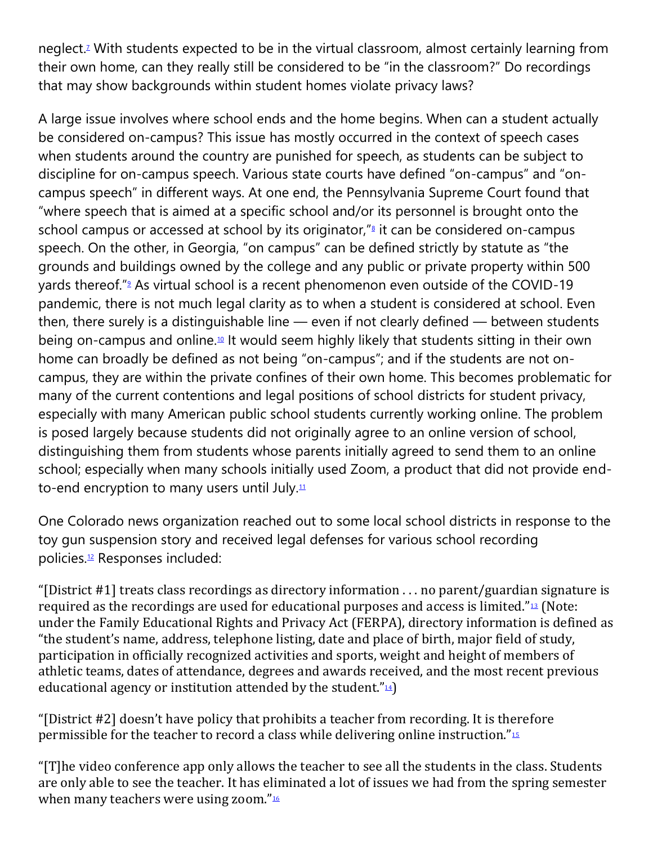neglect[.](https://cardozoaelj.com/2020/09/29/do-virtual-classrooms-encroach-on-family-privacy-rights/#easy-footnote-bottom-7-6247)<sup>7</sup> With students expected to be in the virtual classroom, almost certainly learning from their own home, can they really still be considered to be "in the classroom?" Do recordings that may show backgrounds within student homes violate privacy laws?

A large issue involves where school ends and the home begins. When can a student actually be considered on-campus? This issue has mostly occurred in the context of speech cases when students around the country are punished for speech, as students can be subject to discipline for on-campus speech. Various state courts have defined "on-campus" and "oncampus speech" in different ways. At one end, the Pennsylvania Supreme Court found that "where speech that is aimed at a specific school and/or its personnel is brought onto the school campus or accessed at school by its originator,<sup>["](https://cardozoaelj.com/2020/09/29/do-virtual-classrooms-encroach-on-family-privacy-rights/#easy-footnote-bottom-8-6247)</sup> it can be considered on-campus speech. On the other, in Georgia, "on campus" can be defined strictly by statute as "the grounds and buildings owned by the college and any public or private property within 500 yards thereof.["](https://cardozoaelj.com/2020/09/29/do-virtual-classrooms-encroach-on-family-privacy-rights/#easy-footnote-bottom-9-6247)<sup>9</sup> As virtual school is a recent phenomenon even outside of the COVID-19 pandemic, there is not much legal clarity as to when a student is considered at school. Even then, there surely is a distinguishable line — even if not clearly defined — between students being on-campus and online.[10](https://cardozoaelj.com/2020/09/29/do-virtual-classrooms-encroach-on-family-privacy-rights/#easy-footnote-bottom-10-6247) It would seem highly likely that students sitting in their own home can broadly be defined as not being "on-campus"; and if the students are not oncampus, they are within the private confines of their own home. This becomes problematic for many of the current contentions and legal positions of school districts for student privacy, especially with many American public school students currently working online. The problem is posed largely because students did not originally agree to an online version of school, distinguishing them from students whose parents initially agreed to send them to an online school; especially when many schools initially used Zoom, a product that did not provide endto-end encryption to many users until July. $11$ 

One Colorado news organization reached out to some local school districts in response to the toy gun suspension story and received legal defenses for various school recording policies.[12](https://cardozoaelj.com/2020/09/29/do-virtual-classrooms-encroach-on-family-privacy-rights/#easy-footnote-bottom-12-6247) Responses included:

"[District #1] treats class recordings as directory information . . . no parent/guardian signature is required as the recordings are used for educational purposes and access is limited."[13](https://cardozoaelj.com/2020/09/29/do-virtual-classrooms-encroach-on-family-privacy-rights/#easy-footnote-bottom-13-6247) (Note: under the Family Educational Rights and Privacy Act (FERPA), directory information is defined as "the student's name, address, telephone listing, date and place of birth, major field of study, participation in officially recognized activities and sports, weight and height of members of athletic teams, dates of attendance, degrees and awards received, and the most recent previous educational agency or institution attended by the student." $\frac{1}{4}$ )

"[District #2] doesn't have policy that prohibits a teacher from recording. It is therefore permissible for the teacher to record a class while delivering online instruction."[15](https://cardozoaelj.com/2020/09/29/do-virtual-classrooms-encroach-on-family-privacy-rights/#easy-footnote-bottom-15-6247)

"[T]he video conference app only allows the teacher to see all the students in the class. Students are only able to see the teacher. It has eliminated a lot of issues we had from the spring semester when many teachers were using zoom." $16$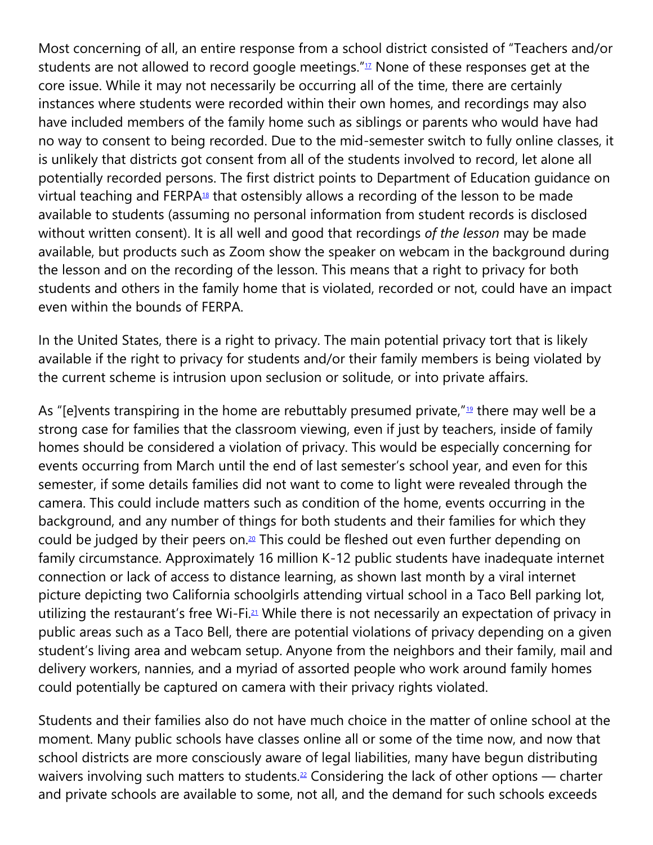Most concerning of all, an entire response from a school district consisted of "Teachers and/or students are not allowed to record google meetings."<sup>[17](https://cardozoaelj.com/2020/09/29/do-virtual-classrooms-encroach-on-family-privacy-rights/#easy-footnote-bottom-17-6247)</sup> None of these responses get at the core issue. While it may not necessarily be occurring all of the time, there are certainly instances where students were recorded within their own homes, and recordings may also have included members of the family home such as siblings or parents who would have had no way to consent to being recorded. Due to the mid-semester switch to fully online classes, it is unlikely that districts got consent from all of the students involved to record, let alone all potentially recorded persons. The first district points to Department of Education guidance on virtual teaching and  $FERPA<sup>18</sup>$  $FERPA<sup>18</sup>$  $FERPA<sup>18</sup>$  that ostensibly allows a recording of the lesson to be made available to students (assuming no personal information from student records is disclosed without written consent). It is all well and good that recordings *of the lesson* may be made available, but products such as Zoom show the speaker on webcam in the background during the lesson and on the recording of the lesson. This means that a right to privacy for both students and others in the family home that is violated, recorded or not, could have an impact even within the bounds of FERPA.

In the United States, there is a right to privacy. The main potential privacy tort that is likely available if the right to privacy for students and/or their family members is being violated by the current scheme is intrusion upon seclusion or solitude, or into private affairs.

As "[e]vents transpiring in the home are rebuttably presumed private," $19$  there may well be a strong case for families that the classroom viewing, even if just by teachers, inside of family homes should be considered a violation of privacy. This would be especially concerning for events occurring from March until the end of last semester's school year, and even for this semester, if some details families did not want to come to light were revealed through the camera. This could include matters such as condition of the home, events occurring in the background, and any number of things for both students and their families for which they could be judged by their peers on.<sup>[20](https://cardozoaelj.com/2020/09/29/do-virtual-classrooms-encroach-on-family-privacy-rights/#easy-footnote-bottom-20-6247)</sup> This could be fleshed out even further depending on family circumstance. Approximately 16 million K-12 public students have inadequate internet connection or lack of access to distance learning, as shown last month by a viral internet picture depicting two California schoolgirls attending virtual school in a Taco Bell parking lot, utilizing the restaurant's free Wi-Fi.<sup>[21](https://cardozoaelj.com/2020/09/29/do-virtual-classrooms-encroach-on-family-privacy-rights/#easy-footnote-bottom-21-6247)</sup> While there is not necessarily an expectation of privacy in public areas such as a Taco Bell, there are potential violations of privacy depending on a given student's living area and webcam setup. Anyone from the neighbors and their family, mail and delivery workers, nannies, and a myriad of assorted people who work around family homes could potentially be captured on camera with their privacy rights violated.

Students and their families also do not have much choice in the matter of online school at the moment. Many public schools have classes online all or some of the time now, and now that school districts are more consciously aware of legal liabilities, many have begun distributing waivers involving such matters to students.<sup>[22](https://cardozoaelj.com/2020/09/29/do-virtual-classrooms-encroach-on-family-privacy-rights/#easy-footnote-bottom-22-6247)</sup> Considering the lack of other options — charter and private schools are available to some, not all, and the demand for such schools exceeds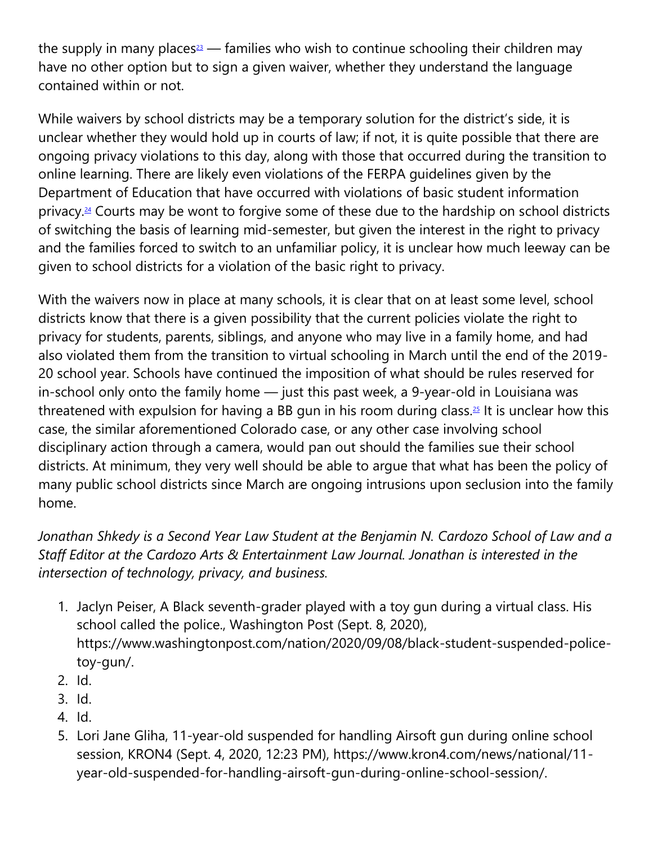the supply in many places<sup>[23](https://cardozoaelj.com/2020/09/29/do-virtual-classrooms-encroach-on-family-privacy-rights/#easy-footnote-bottom-23-6247)</sup> — families who wish to continue schooling their children may have no other option but to sign a given waiver, whether they understand the language contained within or not.

While waivers by school districts may be a temporary solution for the district's side, it is unclear whether they would hold up in courts of law; if not, it is quite possible that there are ongoing privacy violations to this day, along with those that occurred during the transition to online learning. There are likely even violations of the FERPA guidelines given by the Department of Education that have occurred with violations of basic student information privacy.[24](https://cardozoaelj.com/2020/09/29/do-virtual-classrooms-encroach-on-family-privacy-rights/#easy-footnote-bottom-24-6247) Courts may be wont to forgive some of these due to the hardship on school districts of switching the basis of learning mid-semester, but given the interest in the right to privacy and the families forced to switch to an unfamiliar policy, it is unclear how much leeway can be given to school districts for a violation of the basic right to privacy.

With the waivers now in place at many schools, it is clear that on at least some level, school districts know that there is a given possibility that the current policies violate the right to privacy for students, parents, siblings, and anyone who may live in a family home, and had also violated them from the transition to virtual schooling in March until the end of the 2019- 20 school year. Schools have continued the imposition of what should be rules reserved for in-school only onto the family home — just this past week, a 9-year-old in Louisiana was threatened with expulsion for having a BB gun in his room during class.<sup>[25](https://cardozoaelj.com/2020/09/29/do-virtual-classrooms-encroach-on-family-privacy-rights/#easy-footnote-bottom-25-6247)</sup> It is unclear how this case, the similar aforementioned Colorado case, or any other case involving school disciplinary action through a camera, would pan out should the families sue their school districts. At minimum, they very well should be able to argue that what has been the policy of many public school districts since March are ongoing intrusions upon seclusion into the family home.

## *Jonathan Shkedy is a Second Year Law Student at the Benjamin N. Cardozo School of Law and a Staff Editor at the Cardozo Arts & Entertainment Law Journal. Jonathan is interested in the intersection of technology, privacy, and business.*

- 1. Jaclyn Peiser, A Black seventh-grader played with a toy gun during a virtual class. His school called the police., Washington Post (Sept. 8, 2020), https://www.washingtonpost.com/nation/2020/09/08/black-student-suspended-policetoy-gun/.
- 2. Id.
- 3. Id.
- 4. Id.
- 5. Lori Jane Gliha, 11-year-old suspended for handling Airsoft gun during online school session, KRON4 (Sept. 4, 2020, 12:23 PM), https://www.kron4.com/news/national/11 year-old-suspended-for-handling-airsoft-gun-during-online-school-session/.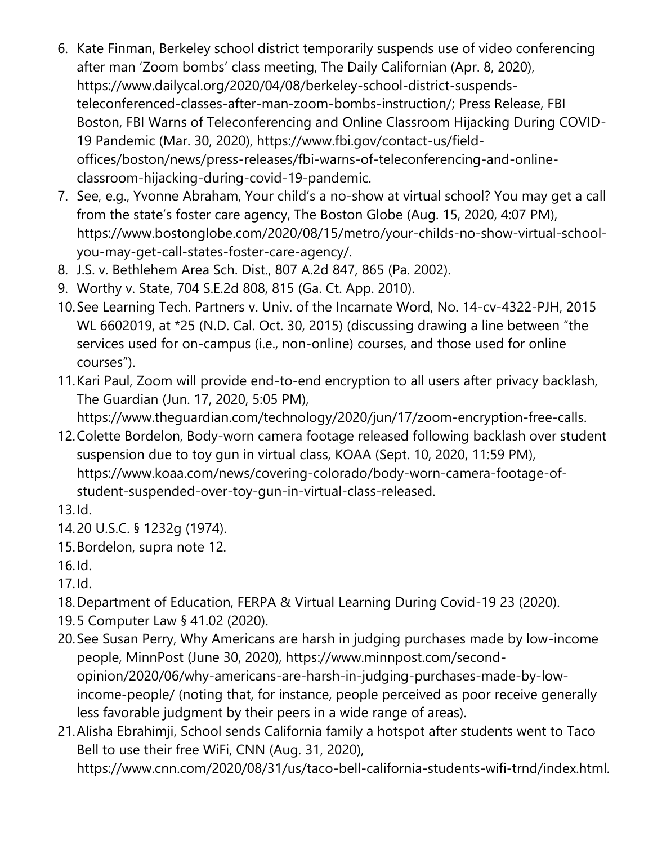- 6. Kate Finman, Berkeley school district temporarily suspends use of video conferencing after man 'Zoom bombs' class meeting, The Daily Californian (Apr. 8, 2020), https://www.dailycal.org/2020/04/08/berkeley-school-district-suspendsteleconferenced-classes-after-man-zoom-bombs-instruction/; Press Release, FBI Boston, FBI Warns of Teleconferencing and Online Classroom Hijacking During COVID-19 Pandemic (Mar. 30, 2020), https://www.fbi.gov/contact-us/fieldoffices/boston/news/press-releases/fbi-warns-of-teleconferencing-and-onlineclassroom-hijacking-during-covid-19-pandemic.
- 7. See, e.g., Yvonne Abraham, Your child's a no-show at virtual school? You may get a call from the state's foster care agency, The Boston Globe (Aug. 15, 2020, 4:07 PM), https://www.bostonglobe.com/2020/08/15/metro/your-childs-no-show-virtual-schoolyou-may-get-call-states-foster-care-agency/.
- 8. J.S. v. Bethlehem Area Sch. Dist., 807 A.2d 847, 865 (Pa. 2002).
- 9. Worthy v. State, 704 S.E.2d 808, 815 (Ga. Ct. App. 2010).
- 10.See Learning Tech. Partners v. Univ. of the Incarnate Word, No. 14-cv-4322-PJH, 2015 WL 6602019, at \*25 (N.D. Cal. Oct. 30, 2015) (discussing drawing a line between "the services used for on-campus (i.e., non-online) courses, and those used for online courses").
- 11.Kari Paul, Zoom will provide end-to-end encryption to all users after privacy backlash, The Guardian (Jun. 17, 2020, 5:05 PM), https://www.theguardian.com/technology/2020/jun/17/zoom-encryption-free-calls.
- 12.Colette Bordelon, Body-worn camera footage released following backlash over student suspension due to toy gun in virtual class, KOAA (Sept. 10, 2020, 11:59 PM), https://www.koaa.com/news/covering-colorado/body-worn-camera-footage-ofstudent-suspended-over-toy-gun-in-virtual-class-released.
- 13.Id.
- 14.20 U.S.C. § 1232g (1974).
- 15.Bordelon, supra note 12.
- 16.Id.
- 17.Id.
- 18.Department of Education, FERPA & Virtual Learning During Covid-19 23 (2020).
- 19.5 Computer Law § 41.02 (2020).
- 20.See Susan Perry, Why Americans are harsh in judging purchases made by low-income people, MinnPost (June 30, 2020), https://www.minnpost.com/secondopinion/2020/06/why-americans-are-harsh-in-judging-purchases-made-by-lowincome-people/ (noting that, for instance, people perceived as poor receive generally less favorable judgment by their peers in a wide range of areas).
- 21.Alisha Ebrahimji, School sends California family a hotspot after students went to Taco Bell to use their free WiFi, CNN (Aug. 31, 2020), https://www.cnn.com/2020/08/31/us/taco-bell-california-students-wifi-trnd/index.html.